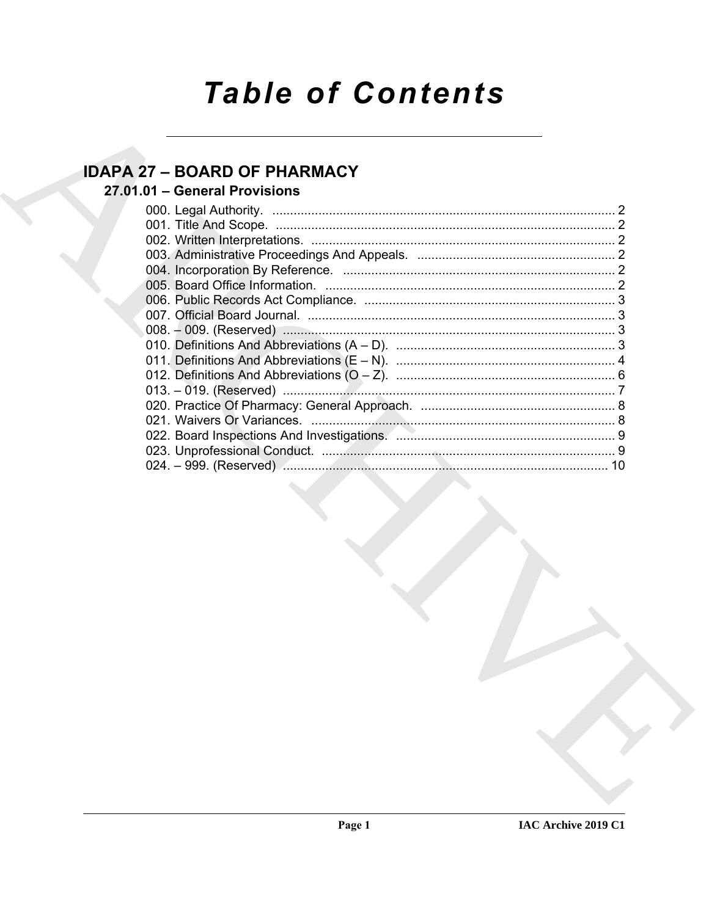# **Table of Contents**

# **IDAPA 27 - BOARD OF PHARMACY**

# 27.01.01 - General Provisions

| 10 |
|----|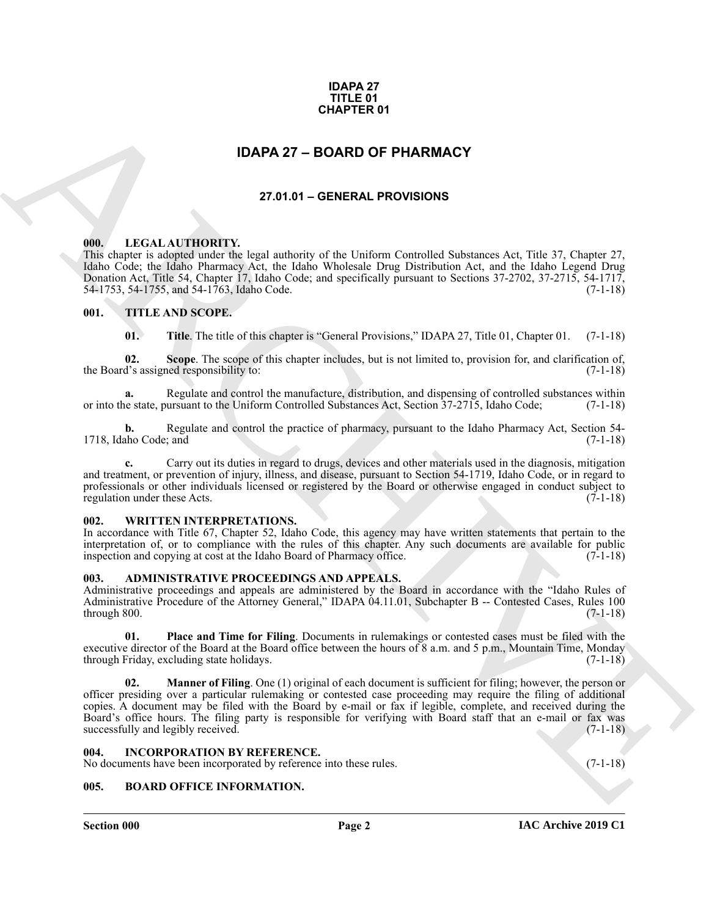#### **IDAPA 27 TITLE 01 CHAPTER 01**

# **IDAPA 27 – BOARD OF PHARMACY**

#### **27.01.01 – GENERAL PROVISIONS**

#### <span id="page-1-11"></span><span id="page-1-2"></span><span id="page-1-1"></span>**000. LEGAL AUTHORITY.**

This chapter is adopted under the legal authority of the Uniform Controlled Substances Act, Title 37, Chapter 27, Idaho Code; the Idaho Pharmacy Act, the Idaho Wholesale Drug Distribution Act, and the Idaho Legend Drug Donation Act, Title 54, Chapter 17, Idaho Code; and specifically pursuant to Sections 37-2702, 37-2715, 54-1717, 54-1753, 54-1755, and 54-1763, Idaho Code. (7-1-18)

#### <span id="page-1-3"></span>**001. TITLE AND SCOPE.**

<span id="page-1-12"></span>**01.** Title. The title of this chapter is "General Provisions," IDAPA 27, Title 01, Chapter 01. (7-1-18)

**02. Scope**. The scope of this chapter includes, but is not limited to, provision for, and clarification of, the Board's assigned responsibility to: (7-1-18)

**a.** Regulate and control the manufacture, distribution, and dispensing of controlled substances within or into the state, pursuant to the Uniform Controlled Substances Act, Section 37-2715, Idaho Code; (7-1-18)

**b.** Regulate and control the practice of pharmacy, pursuant to the Idaho Pharmacy Act, Section 54-1718, Idaho Code; and (7-1-18)

**c.** Carry out its duties in regard to drugs, devices and other materials used in the diagnosis, mitigation and treatment, or prevention of injury, illness, and disease, pursuant to Section 54-1719, Idaho Code, or in regard to professionals or other individuals licensed or registered by the Board or otherwise engaged in conduct subject to regulation under these Acts. (7-1-18)

#### <span id="page-1-13"></span><span id="page-1-4"></span>**002. WRITTEN INTERPRETATIONS.**

In accordance with Title 67, Chapter 52, Idaho Code, this agency may have written statements that pertain to the interpretation of, or to compliance with the rules of this chapter. Any such documents are available for public inspection and copying at cost at the Idaho Board of Pharmacy office. (7-1-18)

#### <span id="page-1-8"></span><span id="page-1-5"></span>**003. ADMINISTRATIVE PROCEEDINGS AND APPEALS.**

Administrative proceedings and appeals are administered by the Board in accordance with the "Idaho Rules of Administrative Procedure of the Attorney General," IDAPA 04.11.01, Subchapter B -- Contested Cases, Rules 100  $(7-1-18)$  (7-1-18)

**01. Place and Time for Filing**. Documents in rulemakings or contested cases must be filed with the executive director of the Board at the Board office between the hours of 8 a.m. and 5 p.m., Mountain Time, Monday through Friday, excluding state holidays.  $(7-1-18)$ through Friday, excluding state holidays.

<span id="page-1-0"></span>**CHAPTER 01**<br> **IDAPA 27 - BOARD OF PHARMACY**<br> **27.41.61 - GENERAL PROVISIONS**<br> **27.41.61 - GENERAL PROVISIONS**<br> **ARCHIVE CONTINENTS:**<br> **ARCHIVE CONTINENTS:**<br> **ARCHIVE CONTINENTS:**<br> **ARCHIVE CONTINENTS:**<br> **CONTINENTS:**<br> **C Manner of Filing**. One (1) original of each document is sufficient for filing; however, the person or officer presiding over a particular rulemaking or contested case proceeding may require the filing of additional copies. A document may be filed with the Board by e-mail or fax if legible, complete, and received during the Board's office hours. The filing party is responsible for verifying with Board staff that an e-mail or fax was successfully and legibly received.

#### <span id="page-1-10"></span><span id="page-1-6"></span>**004. INCORPORATION BY REFERENCE.**

No documents have been incorporated by reference into these rules. (7-1-18)

#### <span id="page-1-9"></span><span id="page-1-7"></span>**005. BOARD OFFICE INFORMATION.**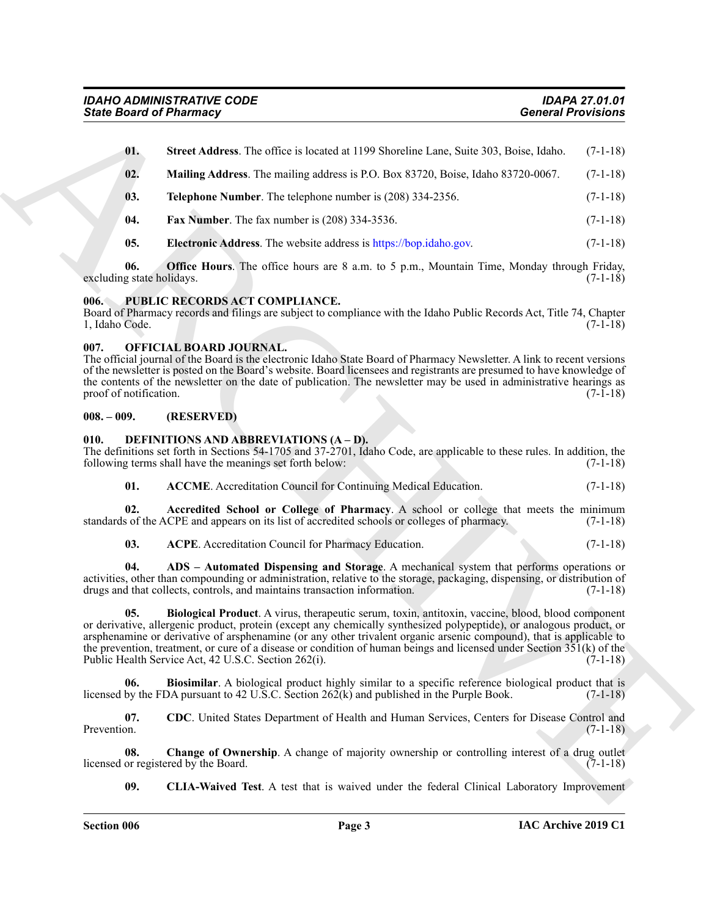|                                  | <b>State Board of Pharmacy</b>                                                                                                                                                                                                                                                                                                                                                                                                                                                                                                      | <b>General Provisions</b> |
|----------------------------------|-------------------------------------------------------------------------------------------------------------------------------------------------------------------------------------------------------------------------------------------------------------------------------------------------------------------------------------------------------------------------------------------------------------------------------------------------------------------------------------------------------------------------------------|---------------------------|
| 01.                              | Street Address. The office is located at 1199 Shoreline Lane, Suite 303, Boise, Idaho.                                                                                                                                                                                                                                                                                                                                                                                                                                              | $(7-1-18)$                |
| 02.                              | Mailing Address. The mailing address is P.O. Box 83720, Boise, Idaho 83720-0067.                                                                                                                                                                                                                                                                                                                                                                                                                                                    | $(7-1-18)$                |
| 03.                              | Telephone Number. The telephone number is (208) 334-2356.                                                                                                                                                                                                                                                                                                                                                                                                                                                                           | $(7-1-18)$                |
| 04.                              | Fax Number. The fax number is (208) 334-3536.                                                                                                                                                                                                                                                                                                                                                                                                                                                                                       | $(7-1-18)$                |
| 05.                              | <b>Electronic Address</b> . The website address is https://bop.idaho.gov.                                                                                                                                                                                                                                                                                                                                                                                                                                                           | $(7-1-18)$                |
| 06.<br>excluding state holidays. | <b>Office Hours</b> . The office hours are 8 a.m. to 5 p.m., Mountain Time, Monday through Friday,                                                                                                                                                                                                                                                                                                                                                                                                                                  | $(7-1-18)$                |
| 006.<br>1, Idaho Code.           | PUBLIC RECORDS ACT COMPLIANCE.<br>Board of Pharmacy records and filings are subject to compliance with the Idaho Public Records Act, Title 74, Chapter                                                                                                                                                                                                                                                                                                                                                                              | $(7-1-18)$                |
| 007.<br>proof of notification.   | OFFICIAL BOARD JOURNAL.<br>The official journal of the Board is the electronic Idaho State Board of Pharmacy Newsletter. A link to recent versions<br>of the newsletter is posted on the Board's website. Board licensees and registrants are presumed to have knowledge of<br>the contents of the newsletter on the date of publication. The newsletter may be used in administrative hearings as                                                                                                                                  | $(7-1-18)$                |
| $008.-009.$                      | (RESERVED)                                                                                                                                                                                                                                                                                                                                                                                                                                                                                                                          |                           |
| 010.                             | <b>DEFINITIONS AND ABBREVIATIONS (A-D).</b><br>The definitions set forth in Sections 54-1705 and 37-2701, Idaho Code, are applicable to these rules. In addition, the<br>following terms shall have the meanings set forth below:                                                                                                                                                                                                                                                                                                   | $(7-1-18)$                |
| 01.                              | <b>ACCME</b> . Accreditation Council for Continuing Medical Education.                                                                                                                                                                                                                                                                                                                                                                                                                                                              | $(7-1-18)$                |
| 02.                              | Accredited School or College of Pharmacy. A school or college that meets the minimum<br>standards of the ACPE and appears on its list of accredited schools or colleges of pharmacy.                                                                                                                                                                                                                                                                                                                                                | $(7-1-18)$                |
| 03.                              | ACPE. Accreditation Council for Pharmacy Education.                                                                                                                                                                                                                                                                                                                                                                                                                                                                                 | $(7-1-18)$                |
| 04.                              | ADS - Automated Dispensing and Storage. A mechanical system that performs operations or<br>activities, other than compounding or administration, relative to the storage, packaging, dispensing, or distribution of<br>drugs and that collects, controls, and maintains transaction information.                                                                                                                                                                                                                                    | $(7-1-18)$                |
| U5.                              | Biological Product. A virus, therapeutic serum, toxin, antitoxin, vaccine, blood, blood component<br>or derivative, allergenic product, protein (except any chemically synthesized polypeptide), or analogous product, or<br>arsphenamine or derivative of arsphenamine (or any other trivalent organic arsenic compound), that is applicable to<br>the prevention, treatment, or cure of a disease or condition of human beings and licensed under Section $351(k)$ of the<br>Public Health Service Act, 42 U.S.C. Section 262(i). | $(7-1-18)$                |
| 06.                              | Biosimilar. A biological product highly similar to a specific reference biological product that is<br>licensed by the FDA pursuant to 42 U.S.C. Section $262(k)$ and published in the Purple Book.                                                                                                                                                                                                                                                                                                                                  | $(7-1-18)$                |
| 07.<br>Prevention.               | CDC. United States Department of Health and Human Services, Centers for Disease Control and                                                                                                                                                                                                                                                                                                                                                                                                                                         | $(7-1-18)$                |
| 08.                              | Change of Ownership. A change of majority ownership or controlling interest of a drug outlet<br>licensed or registered by the Board.                                                                                                                                                                                                                                                                                                                                                                                                | $(7-1-18)$                |
|                                  | <b>CLIA-Waived Test.</b> A test that is waived under the federal Clinical Laboratory Improvement                                                                                                                                                                                                                                                                                                                                                                                                                                    |                           |

#### <span id="page-2-15"></span><span id="page-2-0"></span>**006. PUBLIC RECORDS ACT COMPLIANCE.**

#### <span id="page-2-14"></span><span id="page-2-1"></span>**007. OFFICIAL BOARD JOURNAL.**

#### <span id="page-2-2"></span>**008. – 009. (RESERVED)**

### <span id="page-2-13"></span><span id="page-2-12"></span><span id="page-2-11"></span><span id="page-2-10"></span><span id="page-2-9"></span><span id="page-2-8"></span><span id="page-2-7"></span><span id="page-2-6"></span><span id="page-2-5"></span><span id="page-2-4"></span><span id="page-2-3"></span>**010. DEFINITIONS AND ABBREVIATIONS (A – D).**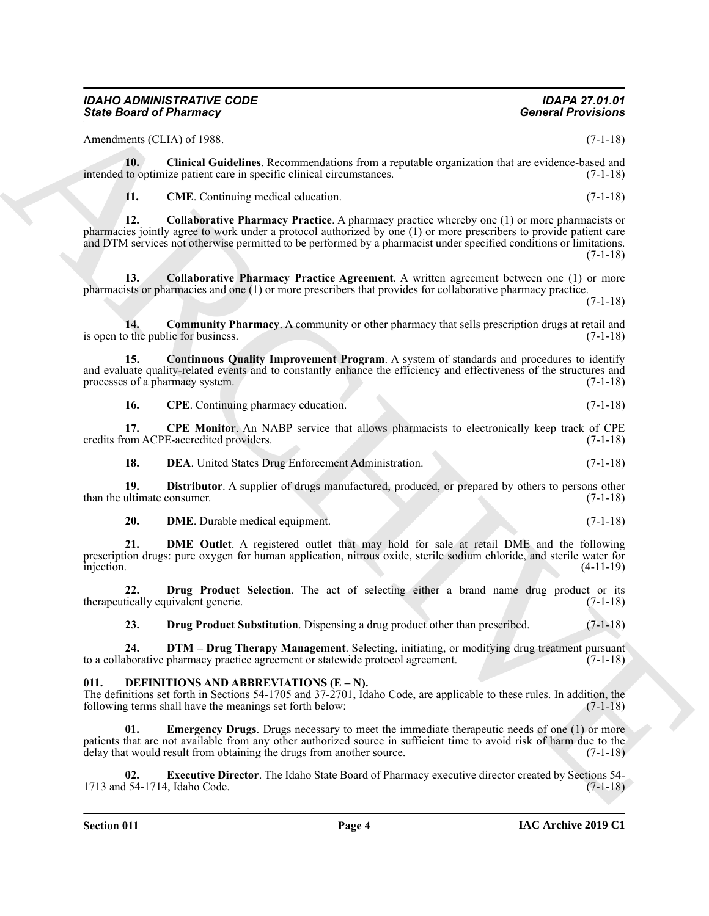#### *IDAHO ADMINISTRATIVE CODE IDAPA 27.01.01* **State Board of Pharmacy**

Amendments (CLIA) of 1988. (7-1-18)

**10. Clinical Guidelines**. Recommendations from a reputable organization that are evidence-based and intended to optimize patient care in specific clinical circumstances. (7-1-18)

<span id="page-3-4"></span><span id="page-3-3"></span><span id="page-3-2"></span><span id="page-3-1"></span>**11. CME**. Continuing medical education. (7-1-18)

Since Board of Phistimacy<br>
Announces CLIAN at 1980. Continue a second position from a number engineering interaction and<br>
the Chinan attack the Chinan and the Chinan attack the Chinan and the Chinan and the Chinan and the **12. Collaborative Pharmacy Practice**. A pharmacy practice whereby one (1) or more pharmacists or pharmacies jointly agree to work under a protocol authorized by one (1) or more prescribers to provide patient care and DTM services not otherwise permitted to be performed by a pharmacist under specified conditions or limitations. (7-1-18)

**13. Collaborative Pharmacy Practice Agreement**. A written agreement between one (1) or more pharmacists or pharmacies and one (1) or more prescribers that provides for collaborative pharmacy practice.

 $(7-1-18)$ 

<span id="page-3-5"></span>**14. Community Pharmacy**. A community or other pharmacy that sells prescription drugs at retail and is open to the public for business. (7-1-18)

**15. Continuous Quality Improvement Program**. A system of standards and procedures to identify and evaluate quality-related events and to constantly enhance the efficiency and effectiveness of the structures and processes of a pharmacy system. (7-1-18) processes of a pharmacy system.

<span id="page-3-8"></span><span id="page-3-7"></span><span id="page-3-6"></span>**16. CPE**. Continuing pharmacy education. (7-1-18)

**17. CPE Monitor**. An NABP service that allows pharmacists to electronically keep track of CPE credits from ACPE-accredited providers. (7-1-18)

<span id="page-3-10"></span><span id="page-3-9"></span>**18. DEA**. United States Drug Enforcement Administration. (7-1-18)

**19. Distributor**. A supplier of drugs manufactured, produced, or prepared by others to persons other than the ultimate consumer. (7-1-18)

<span id="page-3-12"></span><span id="page-3-11"></span>

| 20. | <b>DME.</b> Durable medical equipment. |  |  | $(7-1-18)$ |  |
|-----|----------------------------------------|--|--|------------|--|
|-----|----------------------------------------|--|--|------------|--|

**21. DME Outlet**. A registered outlet that may hold for sale at retail DME and the following prescription drugs: pure oxygen for human application, nitrous oxide, sterile sodium chloride, and sterile water for<br>
(4-11-19) injection. (4-11-19)

**22. Drug Product Selection**. The act of selecting either a brand name drug product or its therapeutically equivalent generic. (7-1-18)

<span id="page-3-15"></span><span id="page-3-14"></span><span id="page-3-13"></span>**23. Drug Product Substitution**. Dispensing a drug product other than prescribed. (7-1-18)

24. **DTM – Drug Therapy Management**. Selecting, initiating, or modifying drug treatment pursuant is borative pharmacy practice agreement or statewide protocol agreement. (7-1-18) to a collaborative pharmacy practice agreement or statewide protocol agreement.

#### <span id="page-3-16"></span><span id="page-3-0"></span>DEFINITIONS AND ABBREVIATIONS (E – N).

The definitions set forth in Sections 54-1705 and 37-2701, Idaho Code, are applicable to these rules. In addition, the following terms shall have the meanings set forth below: following terms shall have the meanings set forth below:

<span id="page-3-17"></span>**Emergency Drugs.** Drugs necessary to meet the immediate therapeutic needs of one (1) or more patients that are not available from any other authorized source in sufficient time to avoid risk of harm due to the delay that would result from obtaining the drugs from another source. (7-1-18)

<span id="page-3-18"></span>**02. Executive Director**. The Idaho State Board of Pharmacy executive director created by Sections 54- 1713 and 54-1714, Idaho Code. (7-1-18)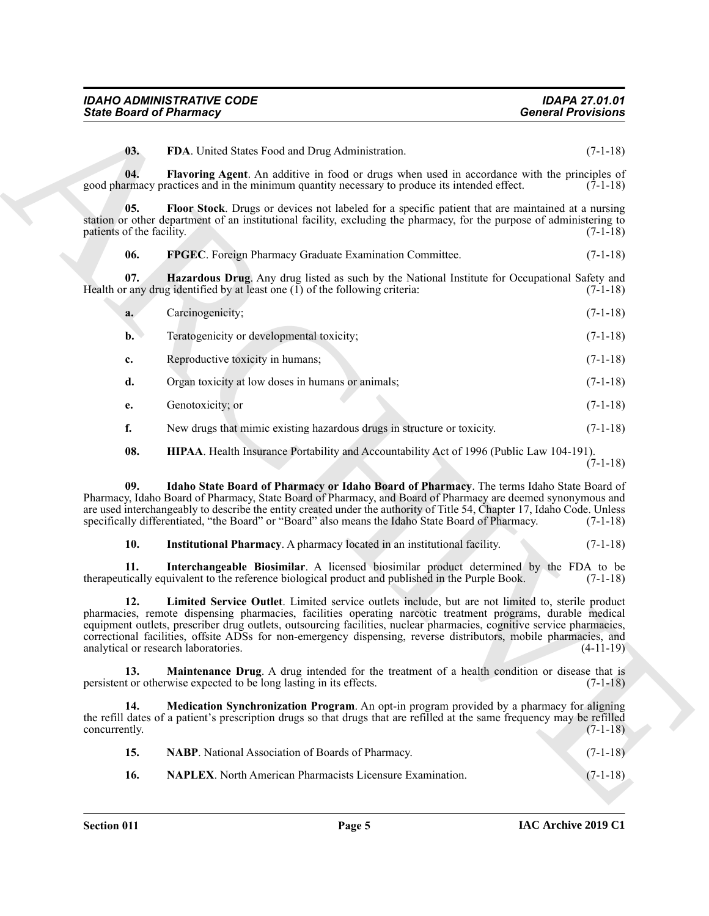<span id="page-4-2"></span><span id="page-4-1"></span><span id="page-4-0"></span>

| <b>IDAHO ADMINISTRATIVE CODE</b> | <b>IDAPA 27.01.01</b>     |
|----------------------------------|---------------------------|
| <b>State Board of Pharmacy</b>   | <b>General Provisions</b> |

|                                  | <b>State Board of Pharmacy</b>                                                                                                                                                                                                                                                                                                                                                                                                                                                                       | <b>General Provisions</b> |
|----------------------------------|------------------------------------------------------------------------------------------------------------------------------------------------------------------------------------------------------------------------------------------------------------------------------------------------------------------------------------------------------------------------------------------------------------------------------------------------------------------------------------------------------|---------------------------|
| 03.                              | FDA. United States Food and Drug Administration.                                                                                                                                                                                                                                                                                                                                                                                                                                                     | $(7-1-18)$                |
| 04.                              | Flavoring Agent. An additive in food or drugs when used in accordance with the principles of<br>good pharmacy practices and in the minimum quantity necessary to produce its intended effect.                                                                                                                                                                                                                                                                                                        | $(7-1-18)$                |
| 05.<br>patients of the facility. | Floor Stock. Drugs or devices not labeled for a specific patient that are maintained at a nursing<br>station or other department of an institutional facility, excluding the pharmacy, for the purpose of administering to                                                                                                                                                                                                                                                                           | $(7-1-18)$                |
| 06.                              | FPGEC. Foreign Pharmacy Graduate Examination Committee.                                                                                                                                                                                                                                                                                                                                                                                                                                              | $(7-1-18)$                |
| 07.                              | Hazardous Drug. Any drug listed as such by the National Institute for Occupational Safety and<br>Health or any drug identified by at least one $(\tilde{I})$ of the following criteria:                                                                                                                                                                                                                                                                                                              | $(7-1-18)$                |
| a.                               | Carcinogenicity;                                                                                                                                                                                                                                                                                                                                                                                                                                                                                     | $(7-1-18)$                |
| $\mathbf{b}$ .                   | Teratogenicity or developmental toxicity;                                                                                                                                                                                                                                                                                                                                                                                                                                                            | $(7-1-18)$                |
| $c_{\cdot}$                      | Reproductive toxicity in humans;                                                                                                                                                                                                                                                                                                                                                                                                                                                                     | $(7-1-18)$                |
| d.                               | Organ toxicity at low doses in humans or animals;                                                                                                                                                                                                                                                                                                                                                                                                                                                    | $(7-1-18)$                |
| e.                               | Genotoxicity; or                                                                                                                                                                                                                                                                                                                                                                                                                                                                                     | $(7-1-18)$                |
| f.                               | New drugs that mimic existing hazardous drugs in structure or toxicity.                                                                                                                                                                                                                                                                                                                                                                                                                              | $(7-1-18)$                |
| 08.                              | HIPAA. Health Insurance Portability and Accountability Act of 1996 (Public Law 104-191).                                                                                                                                                                                                                                                                                                                                                                                                             | $(7-1-18)$                |
| 09.                              | Idaho State Board of Pharmacy or Idaho Board of Pharmacy. The terms Idaho State Board of<br>Pharmacy, Idaho Board of Pharmacy, State Board of Pharmacy, and Board of Pharmacy are deemed synonymous and<br>are used interchangeably to describe the entity created under the authority of Title 54, Chapter 17, Idaho Code. Unless<br>specifically differentiated, "the Board" or "Board" also means the Idaho State Board of Pharmacy.                                                              | $(7-1-18)$                |
| 10.                              | Institutional Pharmacy. A pharmacy located in an institutional facility.                                                                                                                                                                                                                                                                                                                                                                                                                             | $(7-1-18)$                |
| 11.                              | Interchangeable Biosimilar. A licensed biosimilar product determined by the FDA to be<br>therapeutically equivalent to the reference biological product and published in the Purple Book.                                                                                                                                                                                                                                                                                                            | $(7-1-18)$                |
| 12.                              | Limited Service Outlet. Limited service outlets include, but are not limited to, sterile product<br>pharmacies, remote dispensing pharmacies, facilities operating narcotic treatment programs, durable medical<br>equipment outlets, prescriber drug outlets, outsourcing facilities, nuclear pharmacies, cognitive service pharmacies,<br>correctional facilities, offsite ADSs for non-emergency dispensing, reverse distributors, mobile pharmacies, and<br>analytical or research laboratories. | $(4-11-19)$               |
| 13.                              | Maintenance Drug. A drug intended for the treatment of a health condition or disease that is<br>persistent or otherwise expected to be long lasting in its effects.                                                                                                                                                                                                                                                                                                                                  | $(7-1-18)$                |
| 14.<br>concurrently.             | Medication Synchronization Program. An opt-in program provided by a pharmacy for aligning<br>the refill dates of a patient's prescription drugs so that drugs that are refilled at the same frequency may be refilled                                                                                                                                                                                                                                                                                | $(7-1-18)$                |
|                                  | NABP. National Association of Boards of Pharmacy.                                                                                                                                                                                                                                                                                                                                                                                                                                                    | $(7-1-18)$                |
| 15.                              |                                                                                                                                                                                                                                                                                                                                                                                                                                                                                                      |                           |

- <span id="page-4-4"></span><span id="page-4-3"></span>**e.** Genotoxicity; or (7-1-18)
- <span id="page-4-8"></span><span id="page-4-7"></span><span id="page-4-6"></span><span id="page-4-5"></span>**f.** New drugs that mimic existing hazardous drugs in structure or toxicity. (7-1-18)

<span id="page-4-13"></span><span id="page-4-12"></span><span id="page-4-11"></span><span id="page-4-10"></span><span id="page-4-9"></span>

| <b>NABP.</b> National Association of Boards of Pharmacy.         | $(7-1-18)$ |
|------------------------------------------------------------------|------------|
| <b>NAPLEX.</b> North American Pharmacists Licensure Examination. | $(7-1-18)$ |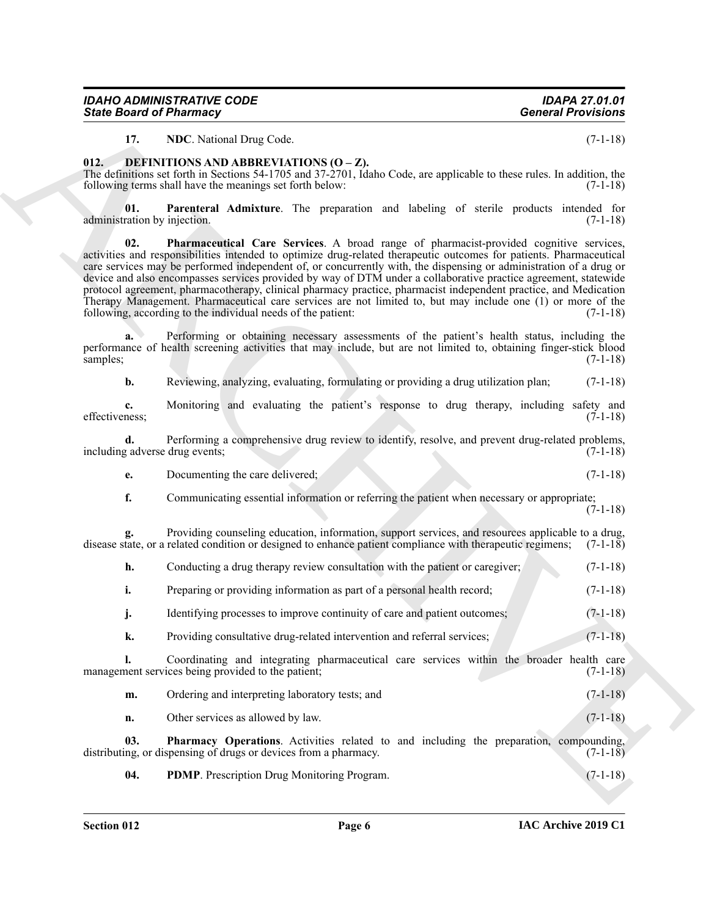<span id="page-5-6"></span><span id="page-5-5"></span><span id="page-5-4"></span><span id="page-5-3"></span><span id="page-5-2"></span><span id="page-5-1"></span><span id="page-5-0"></span>

| IDAHO ADMINISTRATIVE CODE |  |
|---------------------------|--|
| State Board of Pharmacv   |  |

| <b>State Board of Pharmacy</b>      |                                                                                                                                                                                                                                                                                                                                                                                                                                                                                                                                                                                                                                                                                                                                                           | <b>General Provisions</b> |
|-------------------------------------|-----------------------------------------------------------------------------------------------------------------------------------------------------------------------------------------------------------------------------------------------------------------------------------------------------------------------------------------------------------------------------------------------------------------------------------------------------------------------------------------------------------------------------------------------------------------------------------------------------------------------------------------------------------------------------------------------------------------------------------------------------------|---------------------------|
| 17.                                 | NDC. National Drug Code.                                                                                                                                                                                                                                                                                                                                                                                                                                                                                                                                                                                                                                                                                                                                  | $(7-1-18)$                |
| 012.                                | DEFINITIONS AND ABBREVIATIONS (O - Z).<br>The definitions set forth in Sections 54-1705 and 37-2701, Idaho Code, are applicable to these rules. In addition, the<br>following terms shall have the meanings set forth below:                                                                                                                                                                                                                                                                                                                                                                                                                                                                                                                              | $(7-1-18)$                |
| 01.<br>administration by injection. | Parenteral Admixture. The preparation and labeling of sterile products intended for                                                                                                                                                                                                                                                                                                                                                                                                                                                                                                                                                                                                                                                                       | $(7-1-18)$                |
| 02.                                 | Pharmaceutical Care Services. A broad range of pharmacist-provided cognitive services,<br>activities and responsibilities intended to optimize drug-related therapeutic outcomes for patients. Pharmaceutical<br>care services may be performed independent of, or concurrently with, the dispensing or administration of a drug or<br>device and also encompasses services provided by way of DTM under a collaborative practice agreement, statewide<br>protocol agreement, pharmacotherapy, clinical pharmacy practice, pharmacist independent practice, and Medication<br>Therapy Management. Pharmaceutical care services are not limited to, but may include one (1) or more of the<br>following, according to the individual needs of the patient: | $(7-1-18)$                |
| a.<br>samples;                      | Performing or obtaining necessary assessments of the patient's health status, including the<br>performance of health screening activities that may include, but are not limited to, obtaining finger-stick blood                                                                                                                                                                                                                                                                                                                                                                                                                                                                                                                                          | $(7-1-18)$                |
| b.                                  | Reviewing, analyzing, evaluating, formulating or providing a drug utilization plan;                                                                                                                                                                                                                                                                                                                                                                                                                                                                                                                                                                                                                                                                       | $(7-1-18)$                |
| $c_{\bullet}$<br>effectiveness;     | Monitoring and evaluating the patient's response to drug therapy, including safety and                                                                                                                                                                                                                                                                                                                                                                                                                                                                                                                                                                                                                                                                    | $(7-1-18)$                |
| d.                                  | Performing a comprehensive drug review to identify, resolve, and prevent drug-related problems,<br>including adverse drug events;                                                                                                                                                                                                                                                                                                                                                                                                                                                                                                                                                                                                                         | $(7-1-18)$                |
| e.                                  | Documenting the care delivered;                                                                                                                                                                                                                                                                                                                                                                                                                                                                                                                                                                                                                                                                                                                           | $(7-1-18)$                |
| f.                                  | Communicating essential information or referring the patient when necessary or appropriate;                                                                                                                                                                                                                                                                                                                                                                                                                                                                                                                                                                                                                                                               | $(7-1-18)$                |
|                                     | Providing counseling education, information, support services, and resources applicable to a drug,<br>disease state, or a related condition or designed to enhance patient compliance with therapeutic regimens;                                                                                                                                                                                                                                                                                                                                                                                                                                                                                                                                          | $(7-1-18)$                |
| h.                                  | Conducting a drug therapy review consultation with the patient or caregiver;                                                                                                                                                                                                                                                                                                                                                                                                                                                                                                                                                                                                                                                                              | $(7-1-18)$                |
| i.                                  | Preparing or providing information as part of a personal health record;                                                                                                                                                                                                                                                                                                                                                                                                                                                                                                                                                                                                                                                                                   | $(7-1-18)$                |
| j.                                  | Identifying processes to improve continuity of care and patient outcomes;                                                                                                                                                                                                                                                                                                                                                                                                                                                                                                                                                                                                                                                                                 | $(7-1-18)$                |
| k.                                  | Providing consultative drug-related intervention and referral services;                                                                                                                                                                                                                                                                                                                                                                                                                                                                                                                                                                                                                                                                                   | $(7-1-18)$                |
| $\mathbf{l}$ .                      | Coordinating and integrating pharmaceutical care services within the broader health care<br>management services being provided to the patient;                                                                                                                                                                                                                                                                                                                                                                                                                                                                                                                                                                                                            | $(7-1-18)$                |
| m.                                  | Ordering and interpreting laboratory tests; and                                                                                                                                                                                                                                                                                                                                                                                                                                                                                                                                                                                                                                                                                                           | $(7-1-18)$                |
| n.                                  | Other services as allowed by law.                                                                                                                                                                                                                                                                                                                                                                                                                                                                                                                                                                                                                                                                                                                         | $(7-1-18)$                |
| 03.                                 | Pharmacy Operations. Activities related to and including the preparation, compounding,<br>distributing, or dispensing of drugs or devices from a pharmacy.                                                                                                                                                                                                                                                                                                                                                                                                                                                                                                                                                                                                | $(7-1-18)$                |
|                                     | PDMP. Prescription Drug Monitoring Program.                                                                                                                                                                                                                                                                                                                                                                                                                                                                                                                                                                                                                                                                                                               | $(7-1-18)$                |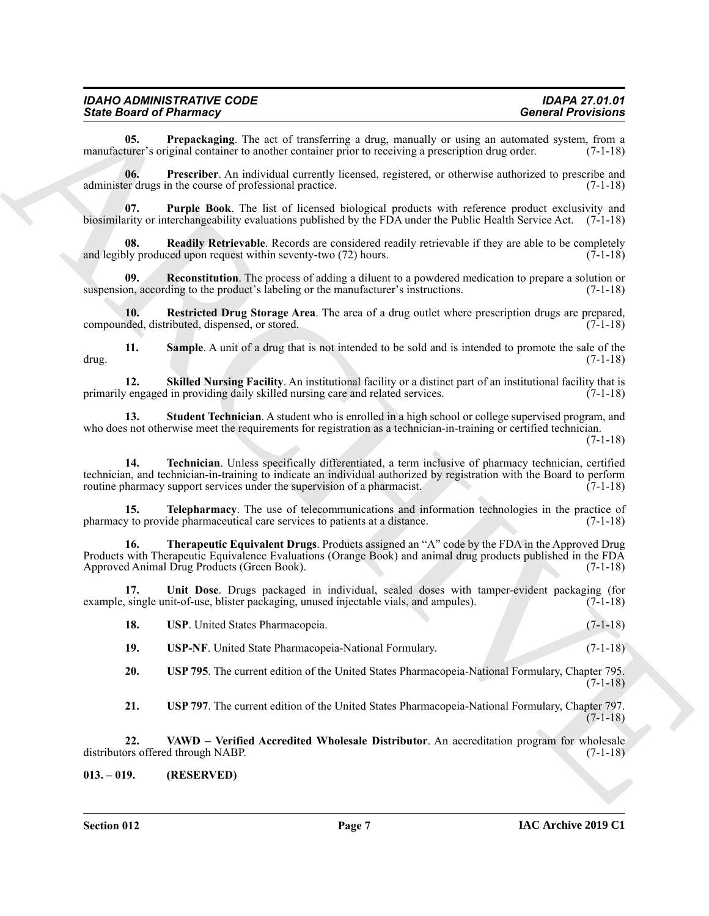#### *IDAHO ADMINISTRATIVE CODE IDAPA 27.01.01* **State Board of Pharmacy**

<span id="page-6-1"></span>**05. Prepackaging**. The act of transferring a drug, manually or using an automated system, from a turer's original container to another container prior to receiving a prescription drug order. (7-1-18) manufacturer's original container to another container prior to receiving a prescription drug order.

<span id="page-6-2"></span>**06. Prescriber**. An individual currently licensed, registered, or otherwise authorized to prescribe and administer drugs in the course of professional practice. (7-1-18)

<span id="page-6-3"></span>**07. Purple Book**. The list of licensed biological products with reference product exclusivity and biosimilarity or interchangeability evaluations published by the FDA under the Public Health Service Act. (7-1-18)

<span id="page-6-4"></span>**Readily Retrievable**. Records are considered readily retrievable if they are able to be completely and legibly produced upon request within seventy-two  $(72)$  hours.  $(7-1-18)$ 

<span id="page-6-5"></span>**09. Reconstitution**. The process of adding a diluent to a powdered medication to prepare a solution or suspension, according to the product's labeling or the manufacturer's instructions. (7-1-18)

<span id="page-6-6"></span>**10. Restricted Drug Storage Area**. The area of a drug outlet where prescription drugs are prepared, deed, distributed, dispensed, or stored. (7-1-18) compounded, distributed, dispensed, or stored.

<span id="page-6-7"></span>**11. Sample**. A unit of a drug that is not intended to be sold and is intended to promote the sale of the (7-1-18) drug. (7-1-18)

<span id="page-6-8"></span>**12. Skilled Nursing Facility**. An institutional facility or a distinct part of an institutional facility that is *engaged* in providing daily skilled nursing care and related services. (7-1-18) primarily engaged in providing daily skilled nursing care and related services.

<span id="page-6-10"></span><span id="page-6-9"></span>**13. Student Technician**. A student who is enrolled in a high school or college supervised program, and who does not otherwise meet the requirements for registration as a technician-in-training or certified technician.

(7-1-18)

Since Browning The method interesting a drop, manually or entropy a denominated Procedure and<br>numerical Properties and the state function of the state function of the state of the state of the state of the state of the st **14. Technician**. Unless specifically differentiated, a term inclusive of pharmacy technician, certified technician, and technician-in-training to indicate an individual authorized by registration with the Board to perform routine pharmacy support services under the supervision of a pharmacist. (7-1-18) routine pharmacy support services under the supervision of a pharmacist.

<span id="page-6-11"></span>**15. Telepharmacy**. The use of telecommunications and information technologies in the practice of pharmacy to provide pharmaceutical care services to patients at a distance. (7-1-18)

<span id="page-6-12"></span>**16. Therapeutic Equivalent Drugs**. Products assigned an "A" code by the FDA in the Approved Drug Products with Therapeutic Equivalence Evaluations (Orange Book) and animal drug products published in the FDA Approved Animal Drug Products (Green Book). (7-1-18)

17. Unit Dose. Drugs packaged in individual, sealed doses with tamper-evident packaging (for single unit-of-use, blister packaging, unused injectable vials, and ampules). (7-1-18) example, single unit-of-use, blister packaging, unused injectable vials, and ampules).

<span id="page-6-14"></span><span id="page-6-13"></span>

| <b>USP.</b> United States Pharmacopeia. | $(7-1-18)$ |
|-----------------------------------------|------------|
|                                         |            |

<span id="page-6-17"></span>**19. USP-NF**. United State Pharmacopeia-National Formulary. (7-1-18)

<span id="page-6-15"></span>**20. USP 795**. The current edition of the United States Pharmacopeia-National Formulary, Chapter 795. (7-1-18)

<span id="page-6-18"></span><span id="page-6-16"></span>**21. USP 797**. The current edition of the United States Pharmacopeia-National Formulary, Chapter 797. (7-1-18)

**22. VAWD – Verified Accredited Wholesale Distributor**. An accreditation program for wholesale distributors offered through NABP. (7-1-18)

<span id="page-6-0"></span>**013. – 019. (RESERVED)**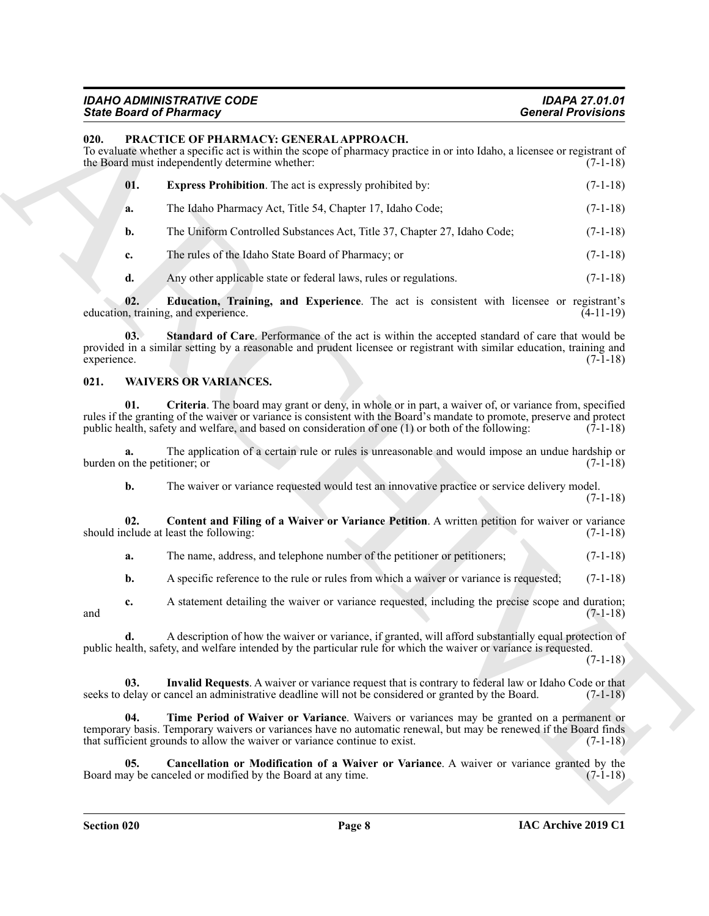#### *IDAHO ADMINISTRATIVE CODE IDAPA 27.01.01* **State Board of Pharmacy**

#### <span id="page-7-4"></span><span id="page-7-2"></span><span id="page-7-0"></span>**020. PRACTICE OF PHARMACY: GENERAL APPROACH.**

|                              | <b>State Board of Pharmacy</b>                                                                                                                                                                                                                                                                                                        | <b>General Provisions</b> |
|------------------------------|---------------------------------------------------------------------------------------------------------------------------------------------------------------------------------------------------------------------------------------------------------------------------------------------------------------------------------------|---------------------------|
| 020.                         | PRACTICE OF PHARMACY: GENERAL APPROACH.<br>To evaluate whether a specific act is within the scope of pharmacy practice in or into Idaho, a licensee or registrant of<br>the Board must independently determine whether:                                                                                                               | $(7-1-18)$                |
| 01.                          | <b>Express Prohibition.</b> The act is expressly prohibited by:                                                                                                                                                                                                                                                                       | $(7-1-18)$                |
| a.                           | The Idaho Pharmacy Act, Title 54, Chapter 17, Idaho Code;                                                                                                                                                                                                                                                                             | $(7-1-18)$                |
| b.                           | The Uniform Controlled Substances Act, Title 37, Chapter 27, Idaho Code;                                                                                                                                                                                                                                                              | $(7-1-18)$                |
| c.                           | The rules of the Idaho State Board of Pharmacy; or                                                                                                                                                                                                                                                                                    | $(7-1-18)$                |
| d.                           | Any other applicable state or federal laws, rules or regulations.                                                                                                                                                                                                                                                                     | $(7-1-18)$                |
| 02.                          | Education, Training, and Experience. The act is consistent with licensee or registrant's<br>education, training, and experience.                                                                                                                                                                                                      | $(4-11-19)$               |
| 03.<br>experience.           | Standard of Care. Performance of the act is within the accepted standard of care that would be<br>provided in a similar setting by a reasonable and prudent licensee or registrant with similar education, training and                                                                                                               | $(7-1-18)$                |
| 021.                         | <b>WAIVERS OR VARIANCES.</b>                                                                                                                                                                                                                                                                                                          |                           |
| 01.                          | Criteria. The board may grant or deny, in whole or in part, a waiver of, or variance from, specified<br>rules if the granting of the waiver or variance is consistent with the Board's mandate to promote, preserve and protect<br>public health, safety and welfare, and based on consideration of one (1) or both of the following: | $(7-1-18)$                |
| burden on the petitioner; or | The application of a certain rule or rules is unreasonable and would impose an undue hardship or                                                                                                                                                                                                                                      | $(7-1-18)$                |
| b.                           | The waiver or variance requested would test an innovative practice or service delivery model.                                                                                                                                                                                                                                         | $(7-1-18)$                |
| 02.                          | Content and Filing of a Waiver or Variance Petition. A written petition for waiver or variance<br>should include at least the following:                                                                                                                                                                                              | $(7-1-18)$                |
| a.                           | The name, address, and telephone number of the petitioner or petitioners;                                                                                                                                                                                                                                                             | $(7-1-18)$                |
| b.                           | A specific reference to the rule or rules from which a waiver or variance is requested;                                                                                                                                                                                                                                               | $(7-1-18)$                |
| c.<br>and                    | A statement detailing the waiver or variance requested, including the precise scope and duration;                                                                                                                                                                                                                                     | $(7-1-18)$                |
| d.                           | A description of how the waiver or variance, if granted, will afford substantially equal protection of<br>public health, safety, and welfare intended by the particular rule for which the waiver or variance is requested.                                                                                                           | $(7-1-18)$                |
| 03.                          | Invalid Requests. A waiver or variance request that is contrary to federal law or Idaho Code or that<br>seeks to delay or cancel an administrative deadline will not be considered or granted by the Board.                                                                                                                           | $(7-1-18)$                |
| 04.                          | Time Period of Waiver or Variance. Waivers or variances may be granted on a permanent or<br>temporary basis. Temporary waivers or variances have no automatic renewal, but may be renewed if the Board finds<br>that sufficient grounds to allow the waiver or variance continue to exist.                                            | $(7-1-18)$                |
| 05.                          | Cancellation or Modification of a Waiver or Variance. A waiver or variance granted by the<br>Board may be canceled or modified by the Board at any time.                                                                                                                                                                              | $(7-1-18)$                |
|                              |                                                                                                                                                                                                                                                                                                                                       |                           |

#### <span id="page-7-11"></span><span id="page-7-10"></span><span id="page-7-9"></span><span id="page-7-8"></span><span id="page-7-7"></span><span id="page-7-6"></span><span id="page-7-5"></span><span id="page-7-3"></span><span id="page-7-1"></span>**021. WAIVERS OR VARIANCES.**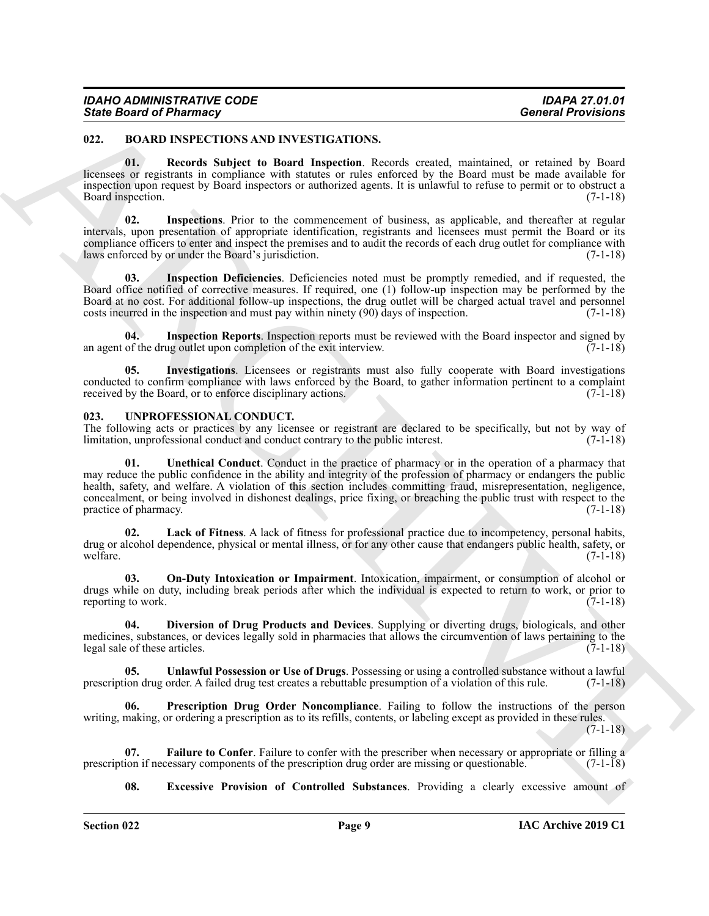#### <span id="page-8-2"></span><span id="page-8-0"></span>**022. BOARD INSPECTIONS AND INVESTIGATIONS.**

<span id="page-8-7"></span>**01. Records Subject to Board Inspection**. Records created, maintained, or retained by Board licensees or registrants in compliance with statutes or rules enforced by the Board must be made available for inspection upon request by Board inspectors or authorized agents. It is unlawful to refuse to permit or to obstruct a Board inspection. (7-1-18)

<span id="page-8-5"></span>**02. Inspections**. Prior to the commencement of business, as applicable, and thereafter at regular intervals, upon presentation of appropriate identification, registrants and licensees must permit the Board or its compliance officers to enter and inspect the premises and to audit the records of each drug outlet for compliance with laws enforced by or under the Board's jurisdiction. (7-1-18)

<span id="page-8-3"></span>**03. Inspection Deficiencies**. Deficiencies noted must be promptly remedied, and if requested, the Board office notified of corrective measures. If required, one (1) follow-up inspection may be performed by the Board at no cost. For additional follow-up inspections, the drug outlet will be charged actual travel and personnel costs incurred in the inspection and must pay within ninety (90) days of inspection.  $(7-1-18)$ 

<span id="page-8-4"></span>**04. Inspection Reports**. Inspection reports must be reviewed with the Board inspector and signed by an agent of the drug outlet upon completion of the exit interview. (7-1-18)

<span id="page-8-6"></span>**05. Investigations**. Licensees or registrants must also fully cooperate with Board investigations conducted to confirm compliance with laws enforced by the Board, to gather information pertinent to a complaint received by the Board, or to enforce disciplinary actions. (7-1-18) received by the Board, or to enforce disciplinary actions.

#### <span id="page-8-8"></span><span id="page-8-1"></span>**023. UNPROFESSIONAL CONDUCT.**

<span id="page-8-15"></span>The following acts or practices by any licensee or registrant are declared to be specifically, but not by way of limitation, unprofessional conduct and conduct contrary to the public interest. (7-1-18)

Sinte Board of Pharmacy<br>
12. BAARD ENVERTICATIONS.<br>
12. BAARD ENVERTICATIONS<br>
13. BAARD ENVERTICATIONS<br>
13. BAARD ENVERTIES (16.11) Regular to the comparison of the state is a specification of the state of the state<br>
13. **01. Unethical Conduct**. Conduct in the practice of pharmacy or in the operation of a pharmacy that may reduce the public confidence in the ability and integrity of the profession of pharmacy or endangers the public health, safety, and welfare. A violation of this section includes committing fraud, misrepresentation, negligence, concealment, or being involved in dishonest dealings, price fixing, or breaching the public trust with respect to the practice of pharmacy. (7-1-18)

<span id="page-8-12"></span>**02. Lack of Fitness**. A lack of fitness for professional practice due to incompetency, personal habits, drug or alcohol dependence, physical or mental illness, or for any other cause that endangers public health, safety, or welfare. (7-1-18) welfare. (7-1-18)

<span id="page-8-13"></span>**03. On-Duty Intoxication or Impairment**. Intoxication, impairment, or consumption of alcohol or drugs while on duty, including break periods after which the individual is expected to return to work, or prior to reporting to work. (7-1-18)

<span id="page-8-9"></span>**04. Diversion of Drug Products and Devices**. Supplying or diverting drugs, biologicals, and other medicines, substances, or devices legally sold in pharmacies that allows the circumvention of laws pertaining to the legal sale of these articles. (7-1-18)

<span id="page-8-16"></span>**05. Unlawful Possession or Use of Drugs**. Possessing or using a controlled substance without a lawful prescription drug order. A failed drug test creates a rebuttable presumption of a violation of this rule. (7-1-18)

<span id="page-8-14"></span>**06. Prescription Drug Order Noncompliance**. Failing to follow the instructions of the person writing, making, or ordering a prescription as to its refills, contents, or labeling except as provided in these rules.

(7-1-18)

**07. Failure to Confer**. Failure to confer with the prescriber when necessary or appropriate or filling a ion if necessary components of the prescription drug order are missing or questionable. (7-1-18) prescription if necessary components of the prescription drug order are missing or questionable.

<span id="page-8-11"></span><span id="page-8-10"></span>**08. Excessive Provision of Controlled Substances**. Providing a clearly excessive amount of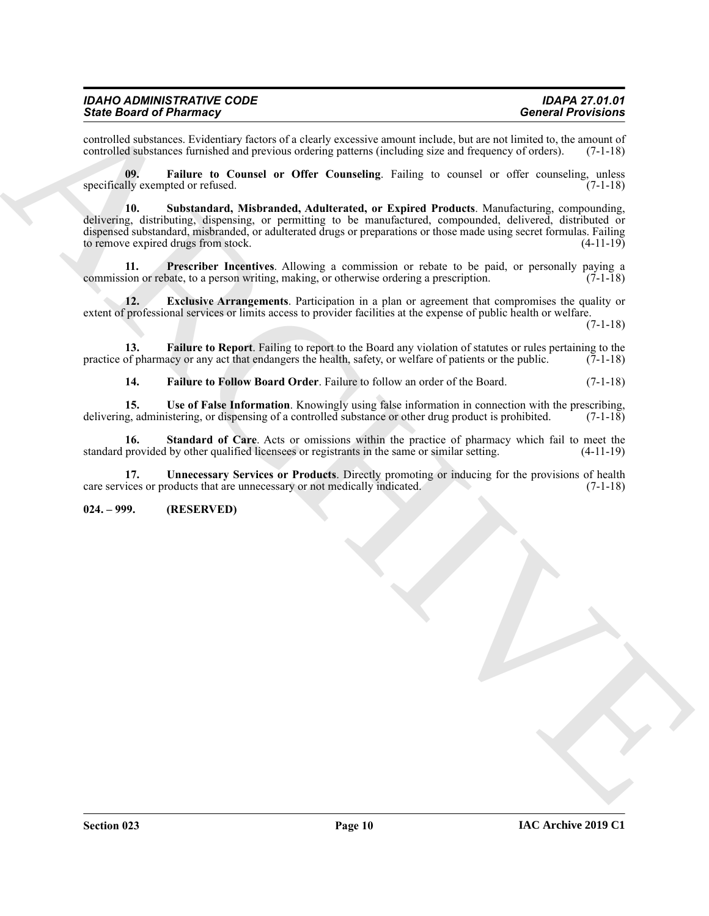controlled substances. Evidentiary factors of a clearly excessive amount include, but are not limited to, the amount of controlled substances furnished and previous ordering patterns (including size and frequency of orders controlled substances furnished and previous ordering patterns (including size and frequency of orders).

<span id="page-9-7"></span><span id="page-9-2"></span>**09. Failure to Counsel or Offer Counseling**. Failing to counsel or offer counseling, unless specifically exempted or refused.  $(7-1-18)$ 

Since the other are the state of the state of the state of the state of the state of the state of the state of the state of the state of the state of the state of the state of the state of the state of the state of the st **10. Substandard, Misbranded, Adulterated, or Expired Products**. Manufacturing, compounding, delivering, distributing, dispensing, or permitting to be manufactured, compounded, delivered, distributed or dispensed substandard, misbranded, or adulterated drugs or preparations or those made using secret formulas. Failing to remove expired drugs from stock. (4-11-19)

<span id="page-9-5"></span>**11. Prescriber Incentives**. Allowing a commission or rebate to be paid, or personally paying a ion or rebate, to a person writing, making, or otherwise ordering a prescription. (7-1-18) commission or rebate, to a person writing, making, or otherwise ordering a prescription.

<span id="page-9-1"></span>**12. Exclusive Arrangements**. Participation in a plan or agreement that compromises the quality or extent of professional services or limits access to provider facilities at the expense of public health or welfare.

(7-1-18)

**13. Failure to Report**. Failing to report to the Board any violation of statutes or rules pertaining to the of pharmacy or any act that endangers the health, safety, or welfare of patients or the public. (7-1-18) practice of pharmacy or any act that endangers the health, safety, or welfare of patients or the public.

<span id="page-9-9"></span><span id="page-9-6"></span><span id="page-9-4"></span><span id="page-9-3"></span>**14. Failure to Follow Board Order**. Failure to follow an order of the Board. (7-1-18)

**15. Use of False Information**. Knowingly using false information in connection with the prescribing, delivering, administering, or dispensing of a controlled substance or other drug product is prohibited. (7-1-18)

**16.** Standard of Care. Acts or omissions within the practice of pharmacy which fail to meet the provided by other qualified licensees or registrants in the same or similar setting. (4-11-19) standard provided by other qualified licensees or registrants in the same or similar setting.

<span id="page-9-8"></span>**17. Unnecessary Services or Products**. Directly promoting or inducing for the provisions of health ices or products that are unnecessary or not medically indicated. (7-1-18) care services or products that are unnecessary or not medically indicated.

#### <span id="page-9-0"></span>**024. – 999. (RESERVED)**